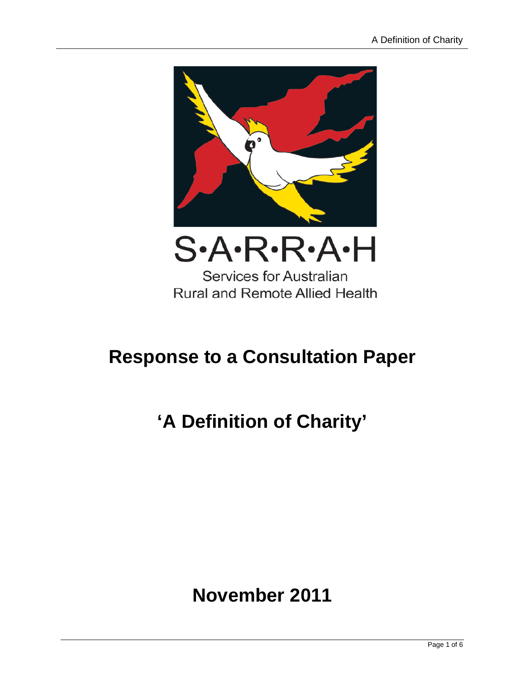

**Rural and Remote Allied Health** 

## **Response to a Consultation Paper**

# **'A Definition of Charity'**

### **November 2011**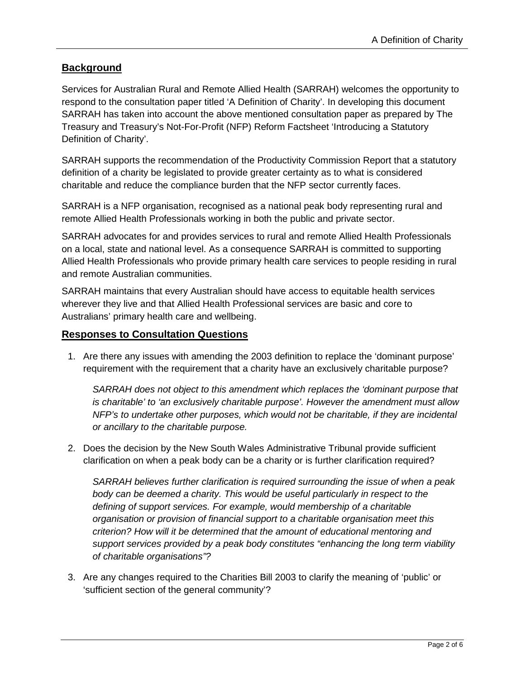#### **Background**

Services for Australian Rural and Remote Allied Health (SARRAH) welcomes the opportunity to respond to the consultation paper titled 'A Definition of Charity'. In developing this document SARRAH has taken into account the above mentioned consultation paper as prepared by The Treasury and Treasury's Not-For-Profit (NFP) Reform Factsheet 'Introducing a Statutory Definition of Charity'.

SARRAH supports the recommendation of the Productivity Commission Report that a statutory definition of a charity be legislated to provide greater certainty as to what is considered charitable and reduce the compliance burden that the NFP sector currently faces.

SARRAH is a NFP organisation, recognised as a national peak body representing rural and remote Allied Health Professionals working in both the public and private sector.

SARRAH advocates for and provides services to rural and remote Allied Health Professionals on a local, state and national level. As a consequence SARRAH is committed to supporting Allied Health Professionals who provide primary health care services to people residing in rural and remote Australian communities.

SARRAH maintains that every Australian should have access to equitable health services wherever they live and that Allied Health Professional services are basic and core to Australians' primary health care and wellbeing.

#### **Responses to Consultation Questions**

1. Are there any issues with amending the 2003 definition to replace the 'dominant purpose' requirement with the requirement that a charity have an exclusively charitable purpose?

*SARRAH does not object to this amendment which replaces the 'dominant purpose that is charitable' to 'an exclusively charitable purpose'. However the amendment must allow NFP's to undertake other purposes, which would not be charitable, if they are incidental or ancillary to the charitable purpose.*

2. Does the decision by the New South Wales Administrative Tribunal provide sufficient clarification on when a peak body can be a charity or is further clarification required?

*SARRAH believes further clarification is required surrounding the issue of when a peak body can be deemed a charity. This would be useful particularly in respect to the defining of support services. For example, would membership of a charitable organisation or provision of financial support to a charitable organisation meet this criterion? How will it be determined that the amount of educational mentoring and support services provided by a peak body constitutes "enhancing the long term viability of charitable organisations"?*

3. Are any changes required to the Charities Bill 2003 to clarify the meaning of 'public' or 'sufficient section of the general community'?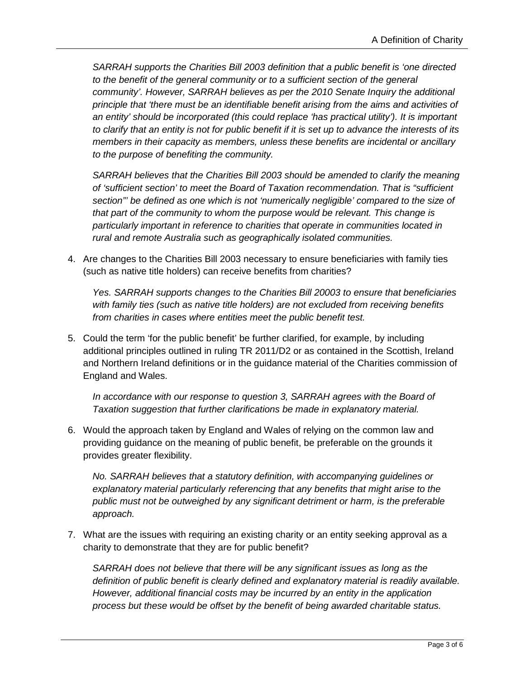*SARRAH supports the Charities Bill 2003 definition that a public benefit is 'one directed to the benefit of the general community or to a sufficient section of the general community'. However, SARRAH believes as per the 2010 Senate Inquiry the additional principle that 'there must be an identifiable benefit arising from the aims and activities of an entity' should be incorporated (this could replace 'has practical utility'). It is important to clarify that an entity is not for public benefit if it is set up to advance the interests of its members in their capacity as members, unless these benefits are incidental or ancillary to the purpose of benefiting the community.*

*SARRAH believes that the Charities Bill 2003 should be amended to clarify the meaning of 'sufficient section' to meet the Board of Taxation recommendation. That is "sufficient section"' be defined as one which is not 'numerically negligible' compared to the size of that part of the community to whom the purpose would be relevant. This change is particularly important in reference to charities that operate in communities located in rural and remote Australia such as geographically isolated communities.*

4. Are changes to the Charities Bill 2003 necessary to ensure beneficiaries with family ties (such as native title holders) can receive benefits from charities?

*Yes. SARRAH supports changes to the Charities Bill 20003 to ensure that beneficiaries with family ties (such as native title holders) are not excluded from receiving benefits from charities in cases where entities meet the public benefit test.*

5. Could the term 'for the public benefit' be further clarified, for example, by including additional principles outlined in ruling TR 2011/D2 or as contained in the Scottish, Ireland and Northern Ireland definitions or in the guidance material of the Charities commission of England and Wales.

*In accordance with our response to question 3, SARRAH agrees with the Board of Taxation suggestion that further clarifications be made in explanatory material.* 

6. Would the approach taken by England and Wales of relying on the common law and providing guidance on the meaning of public benefit, be preferable on the grounds it provides greater flexibility.

*No. SARRAH believes that a statutory definition, with accompanying guidelines or explanatory material particularly referencing that any benefits that might arise to the public must not be outweighed by any significant detriment or harm, is the preferable approach.*

7. What are the issues with requiring an existing charity or an entity seeking approval as a charity to demonstrate that they are for public benefit?

*SARRAH does not believe that there will be any significant issues as long as the definition of public benefit is clearly defined and explanatory material is readily available. However, additional financial costs may be incurred by an entity in the application process but these would be offset by the benefit of being awarded charitable status.*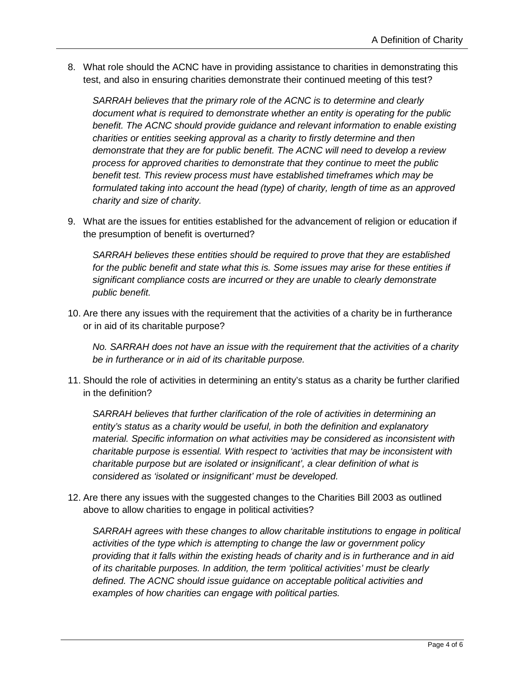8. What role should the ACNC have in providing assistance to charities in demonstrating this test, and also in ensuring charities demonstrate their continued meeting of this test?

*SARRAH believes that the primary role of the ACNC is to determine and clearly document what is required to demonstrate whether an entity is operating for the public benefit. The ACNC should provide guidance and relevant information to enable existing charities or entities seeking approval as a charity to firstly determine and then demonstrate that they are for public benefit. The ACNC will need to develop a review process for approved charities to demonstrate that they continue to meet the public benefit test. This review process must have established timeframes which may be formulated taking into account the head (type) of charity, length of time as an approved charity and size of charity.*

9. What are the issues for entities established for the advancement of religion or education if the presumption of benefit is overturned?

*SARRAH believes these entities should be required to prove that they are established for the public benefit and state what this is. Some issues may arise for these entities if significant compliance costs are incurred or they are unable to clearly demonstrate public benefit.*

10. Are there any issues with the requirement that the activities of a charity be in furtherance or in aid of its charitable purpose?

*No. SARRAH does not have an issue with the requirement that the activities of a charity be in furtherance or in aid of its charitable purpose.*

11. Should the role of activities in determining an entity's status as a charity be further clarified in the definition?

*SARRAH believes that further clarification of the role of activities in determining an entity's status as a charity would be useful, in both the definition and explanatory material. Specific information on what activities may be considered as inconsistent with charitable purpose is essential. With respect to 'activities that may be inconsistent with charitable purpose but are isolated or insignificant', a clear definition of what is considered as 'isolated or insignificant' must be developed.*

12. Are there any issues with the suggested changes to the Charities Bill 2003 as outlined above to allow charities to engage in political activities?

*SARRAH agrees with these changes to allow charitable institutions to engage in political activities of the type which is attempting to change the law or government policy providing that it falls within the existing heads of charity and is in furtherance and in aid of its charitable purposes. In addition, the term 'political activities' must be clearly defined. The ACNC should issue guidance on acceptable political activities and examples of how charities can engage with political parties.*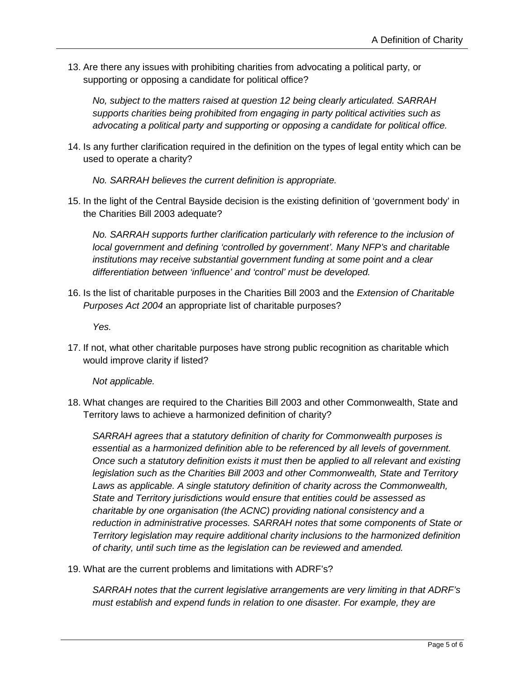13. Are there any issues with prohibiting charities from advocating a political party, or supporting or opposing a candidate for political office?

*No, subject to the matters raised at question 12 being clearly articulated. SARRAH supports charities being prohibited from engaging in party political activities such as advocating a political party and supporting or opposing a candidate for political office.*

14. Is any further clarification required in the definition on the types of legal entity which can be used to operate a charity?

*No. SARRAH believes the current definition is appropriate.* 

15. In the light of the Central Bayside decision is the existing definition of 'government body' in the Charities Bill 2003 adequate?

*No. SARRAH supports further clarification particularly with reference to the inclusion of local government and defining 'controlled by government'. Many NFP's and charitable institutions may receive substantial government funding at some point and a clear differentiation between 'influence' and 'control' must be developed.*

16. Is the list of charitable purposes in the Charities Bill 2003 and the *Extension of Charitable Purposes Act 2004* an appropriate list of charitable purposes?

*Yes.*

17. If not, what other charitable purposes have strong public recognition as charitable which would improve clarity if listed?

*Not applicable.*

18. What changes are required to the Charities Bill 2003 and other Commonwealth, State and Territory laws to achieve a harmonized definition of charity?

*SARRAH agrees that a statutory definition of charity for Commonwealth purposes is essential as a harmonized definition able to be referenced by all levels of government. Once such a statutory definition exists it must then be applied to all relevant and existing legislation such as the Charities Bill 2003 and other Commonwealth, State and Territory Laws as applicable. A single statutory definition of charity across the Commonwealth, State and Territory jurisdictions would ensure that entities could be assessed as charitable by one organisation (the ACNC) providing national consistency and a reduction in administrative processes. SARRAH notes that some components of State or Territory legislation may require additional charity inclusions to the harmonized definition of charity, until such time as the legislation can be reviewed and amended.*

19. What are the current problems and limitations with ADRF's?

*SARRAH notes that the current legislative arrangements are very limiting in that ADRF's must establish and expend funds in relation to one disaster. For example, they are*